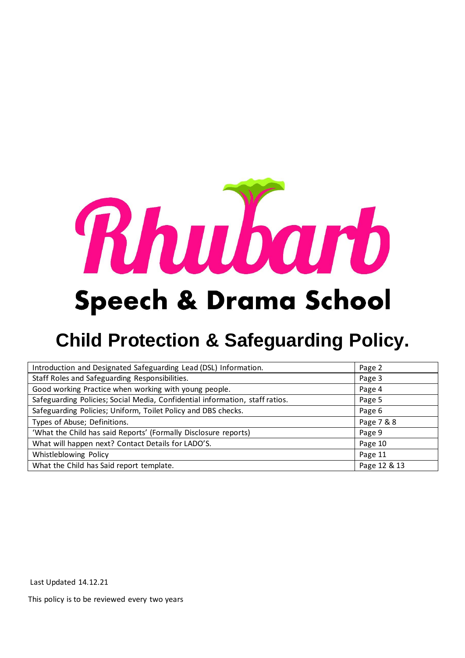

# **Speech & Drama School**

## **Child Protection & Safeguarding Policy.**

| Introduction and Designated Safeguarding Lead (DSL) Information.             | Page 2       |
|------------------------------------------------------------------------------|--------------|
| Staff Roles and Safeguarding Responsibilities.                               | Page 3       |
| Good working Practice when working with young people.                        | Page 4       |
| Safeguarding Policies; Social Media, Confidential information, staff ratios. | Page 5       |
| Safeguarding Policies; Uniform, Toilet Policy and DBS checks.                | Page 6       |
| Types of Abuse; Definitions.                                                 | Page 7 & 8   |
| 'What the Child has said Reports' (Formally Disclosure reports)              | Page 9       |
| What will happen next? Contact Details for LADO'S.                           | Page 10      |
| Whistleblowing Policy                                                        | Page 11      |
| What the Child has Said report template.                                     | Page 12 & 13 |

Last Updated 14.12.21

This policy is to be reviewed every two years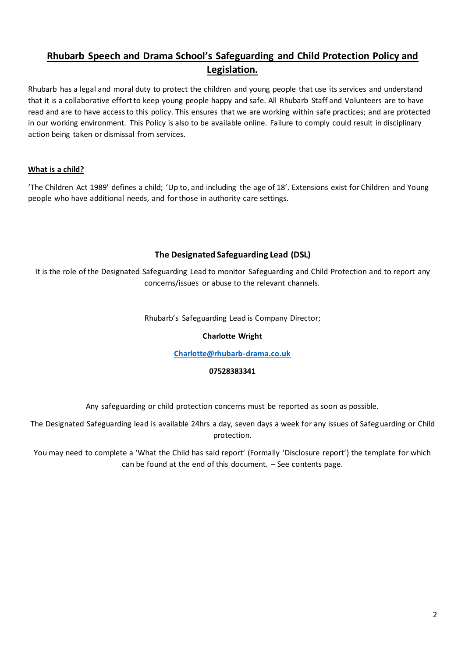## **Rhubarb Speech and Drama School's Safeguarding and Child Protection Policy and Legislation.**

Rhubarb has a legal and moral duty to protect the children and young people that use its services and understand that it is a collaborative effort to keep young people happy and safe. All Rhubarb Staff and Volunteers are to have read and are to have access to this policy. This ensures that we are working within safe practices; and are protected in our working environment. This Policy is also to be available online. Failure to comply could result in disciplinary action being taken or dismissal from services.

#### **What is a child?**

'The Children Act 1989' defines a child; 'Up to, and including the age of 18'. Extensions exist for Children and Young people who have additional needs, and for those in authority care settings.

## **The Designated Safeguarding Lead (DSL)**

It is the role of the Designated Safeguarding Lead to monitor Safeguarding and Child Protection and to report any concerns/issues or abuse to the relevant channels.

#### Rhubarb's Safeguarding Lead is Company Director;

#### **Charlotte Wright**

#### **[Charlotte@rhubarb-drama.co.uk](mailto:Charlotte@rhubarb-drama.co.uk)**

#### **07528383341**

Any safeguarding or child protection concerns must be reported as soon as possible.

The Designated Safeguarding lead is available 24hrs a day, seven days a week for any issues of Safeguarding or Child protection.

You may need to complete a 'What the Child has said report' (Formally 'Disclosure report') the template for which can be found at the end of this document. – See contents page.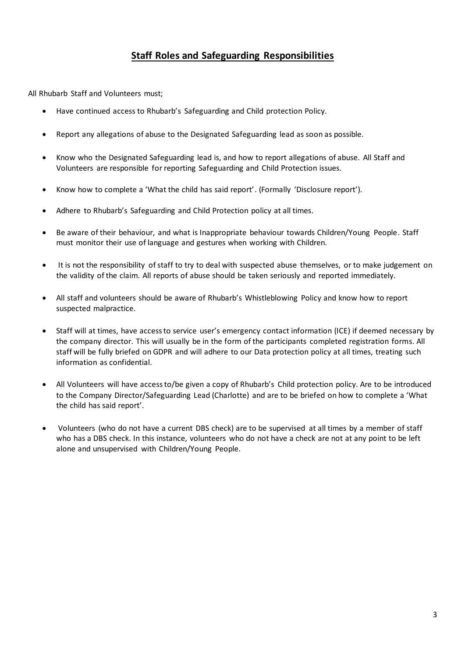## **Staff Roles and Safeguarding Responsibilities**

All Rhubarb Staff and Volunteers must;

- Have continued access to Rhubarb's Safeguarding and Child protection Policy.
- Report any allegations of abuse to the Designated Safeguarding lead as soon as possible.
- Know who the Designated Safeguarding lead is, and how to report allegations of abuse. All Staff and Volunteers are responsible for reporting Safeguarding and Child Protection issues.
- Know how to complete a 'What the child has said report'. (Formally 'Disclosure report').
- Adhere to Rhubarb's Safeguarding and Child Protection policy at all times.
- Be aware of their behaviour, and what is Inappropriate behaviour towards Children/Young People. Staff must monitor their use of language and gestures when working with Children.
- It is not the responsibility of staff to try to deal with suspected abuse themselves, or to make judgement on the validity of the claim. All reports of abuse should be taken seriously and reported immediately.
- All staff and volunteers should be aware of Rhubarb's Whistleblowing Policy and know how to report suspected malpractice.
- Staff will at times, have access to service user's emergency contact information (ICE) if deemed necessary by the company director. This will usually be in the form of the participants completed registration forms. All staff will be fully briefed on GDPR and will adhere to our Data protection policy at all times, treating such information as confidential.
- All Volunteers will have access to/be given a copy of Rhubarb's Child protection policy. Are to be introduced to the Company Director/Safeguarding Lead (Charlotte) and are to be briefed on how to complete a 'What the child has said report'.
- Volunteers (who do not have a current DBS check) are to be supervised at all times by a member of staff who has a DBS check. In this instance, volunteers who do not have a check are not at any point to be left alone and unsupervised with Children/Young People.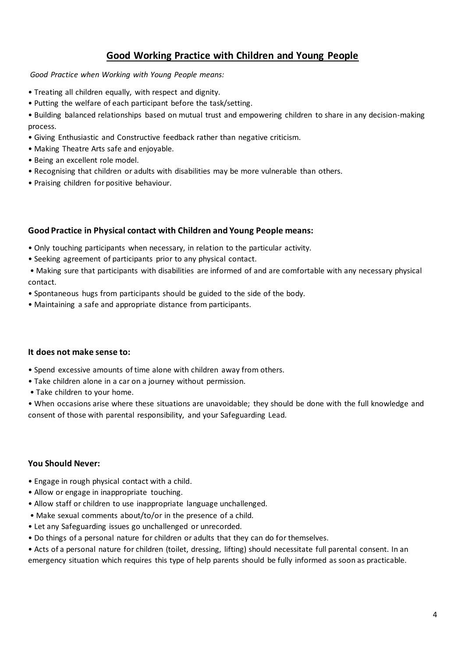## **Good Working Practice with Children and Young People**

*Good Practice when Working with Young People means:* 

- Treating all children equally, with respect and dignity.
- Putting the welfare of each participant before the task/setting.
- Building balanced relationships based on mutual trust and empowering children to share in any decision-making process.
- Giving Enthusiastic and Constructive feedback rather than negative criticism.
- Making Theatre Arts safe and enjoyable.
- Being an excellent role model.
- Recognising that children or adults with disabilities may be more vulnerable than others.
- Praising children for positive behaviour.

#### **Good Practice in Physical contact with Children and Young People means:**

- Only touching participants when necessary, in relation to the particular activity.
- Seeking agreement of participants prior to any physical contact.

• Making sure that participants with disabilities are informed of and are comfortable with any necessary physical contact.

- Spontaneous hugs from participants should be guided to the side of the body.
- Maintaining a safe and appropriate distance from participants.

#### **It does not make sense to:**

- Spend excessive amounts of time alone with children away from others.
- Take children alone in a car on a journey without permission.
- Take children to your home.

• When occasions arise where these situations are unavoidable; they should be done with the full knowledge and consent of those with parental responsibility, and your Safeguarding Lead.

#### **You Should Never:**

- Engage in rough physical contact with a child.
- Allow or engage in inappropriate touching.
- Allow staff or children to use inappropriate language unchallenged.
- Make sexual comments about/to/or in the presence of a child.
- Let any Safeguarding issues go unchallenged or unrecorded.
- Do things of a personal nature for children or adults that they can do for themselves.

• Acts of a personal nature for children (toilet, dressing, lifting) should necessitate full parental consent. In an emergency situation which requires this type of help parents should be fully informed as soon as practicable.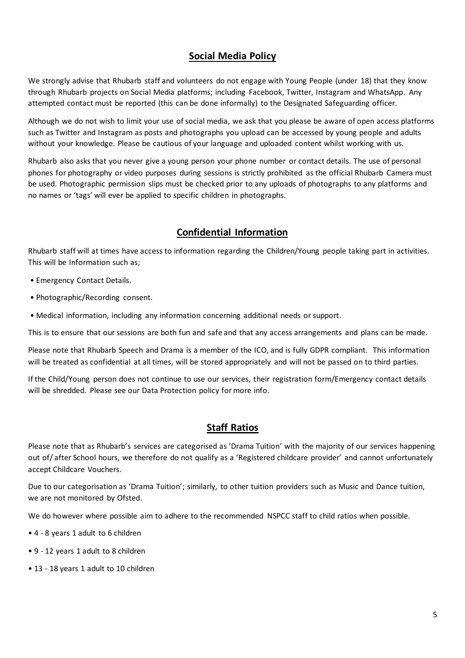## **Social Media Policy**

We strongly advise that Rhubarb staff and volunteers do not engage with Young People (under 18) that they know through Rhubarb projects on Social Media platforms; including Facebook, Twitter, Instagram and WhatsApp. Any attempted contact must be reported (this can be done informally) to the Designated Safeguarding officer.

Although we do not wish to limit your use of social media, we ask that you please be aware of open access platforms such as Twitter and Instagram as posts and photographs you upload can be accessed by young people and adults without your knowledge. Please be cautious of your language and uploaded content whilst working with us.

Rhubarb also asks that you never give a young person your phone number or contact details. The use of personal phones for photography or video purposes during sessions is strictly prohibited as the official Rhubarb Camera must be used. Photographic permission slips must be checked prior to any uploads of photographs to any platforms and no names or 'tags' will ever be applied to specific children in photographs.

## **Confidential Information**

Rhubarb staff will at times have access to information regarding the Children/Young people taking part in activities. This will be Information such as;

- Emergency Contact Details.
- Photographic/Recording consent.
- Medical information, including any information concerning additional needs or support.

This is to ensure that our sessions are both fun and safe and that any access arrangements and plans can be made.

Please note that Rhubarb Speech and Drama is a member of the ICO, and is fully GDPR compliant. This information will be treated as confidential at all times, will be stored appropriately and will not be passed on to third parties.

If the Child/Young person does not continue to use our services, their registration form/Emergency contact details will be shredded. Please see our Data Protection policy for more info.

## **Staff Ratios**

Please note that as Rhubarb's services are categorised as 'Drama Tuition' with the majority of our services happening out of/ after School hours, we therefore do not qualify as a 'Registered childcare provider' and cannot unfortunately accept Childcare Vouchers.

Due to our categorisation as 'Drama Tuition'; similarly, to other tuition providers such as Music and Dance tuition, we are not monitored by Ofsted.

We do however where possible aim to adhere to the recommended NSPCC staff to child ratios when possible.

- 4 8 years 1 adult to 6 children
- 9 12 years 1 adult to 8 children
- 13 18 years 1 adult to 10 children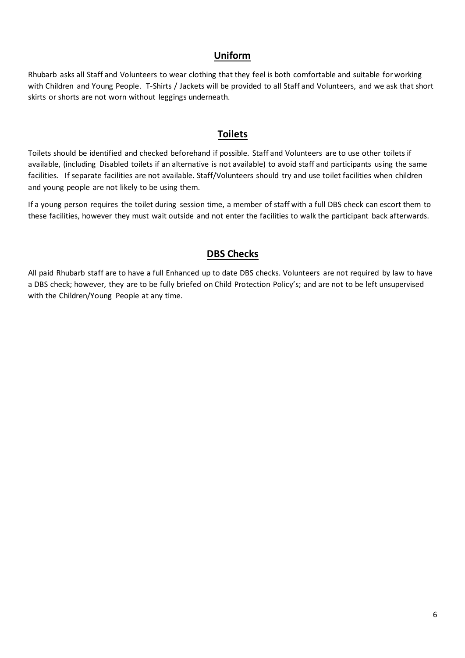## **Uniform**

Rhubarb asks all Staff and Volunteers to wear clothing that they feel is both comfortable and suitable for working with Children and Young People. T-Shirts / Jackets will be provided to all Staff and Volunteers, and we ask that short skirts or shorts are not worn without leggings underneath.

## **Toilets**

Toilets should be identified and checked beforehand if possible. Staff and Volunteers are to use other toilets if available, (including Disabled toilets if an alternative is not available) to avoid staff and participants using the same facilities. If separate facilities are not available. Staff/Volunteers should try and use toilet facilities when children and young people are not likely to be using them.

If a young person requires the toilet during session time, a member of staff with a full DBS check can escort them to these facilities, however they must wait outside and not enter the facilities to walk the participant back afterwards.

## **DBS Checks**

All paid Rhubarb staff are to have a full Enhanced up to date DBS checks. Volunteers are not required by law to have a DBS check; however, they are to be fully briefed on Child Protection Policy's; and are not to be left unsupervised with the Children/Young People at any time.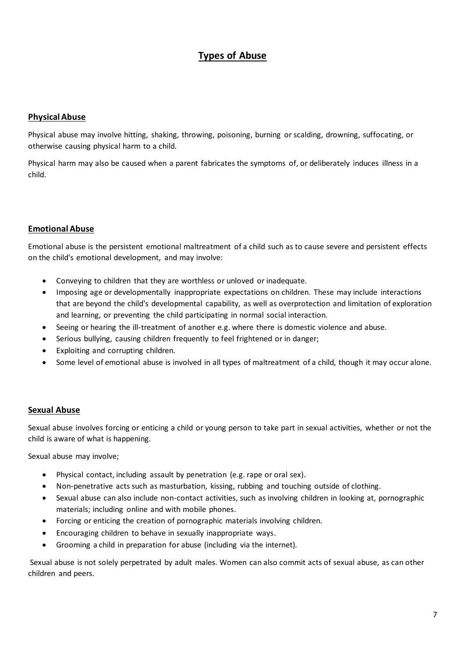## **Types of Abuse**

#### **Physical Abuse**

Physical abuse may involve hitting, shaking, throwing, poisoning, burning or scalding, drowning, suffocating, or otherwise causing physical harm to a child.

Physical harm may also be caused when a parent fabricates the symptoms of, or deliberately induces illness in a child.

#### **Emotional Abuse**

Emotional abuse is the persistent emotional maltreatment of a child such as to cause severe and persistent effects on the child's emotional development, and may involve:

- Conveying to children that they are worthless or unloved or inadequate.
- Imposing age or developmentally inappropriate expectations on children. These may include interactions that are beyond the child's developmental capability, as well as overprotection and limitation of exploration and learning, or preventing the child participating in normal social interaction.
- Seeing or hearing the ill-treatment of another e.g. where there is domestic violence and abuse.
- Serious bullying, causing children frequently to feel frightened or in danger;
- Exploiting and corrupting children.
- Some level of emotional abuse is involved in all types of maltreatment of a child, though it may occur alone.

#### **Sexual Abuse**

Sexual abuse involves forcing or enticing a child or young person to take part in sexual activities, whether or not the child is aware of what is happening.

Sexual abuse may involve;

- Physical contact, including assault by penetration (e.g. rape or oral sex).
- Non-penetrative acts such as masturbation, kissing, rubbing and touching outside of clothing.
- Sexual abuse can also include non-contact activities, such as involving children in looking at, pornographic materials; including online and with mobile phones.
- Forcing or enticing the creation of pornographic materials involving children.
- Encouraging children to behave in sexually inappropriate ways.
- Grooming a child in preparation for abuse (including via the internet).

Sexual abuse is not solely perpetrated by adult males. Women can also commit acts of sexual abuse, as can other children and peers.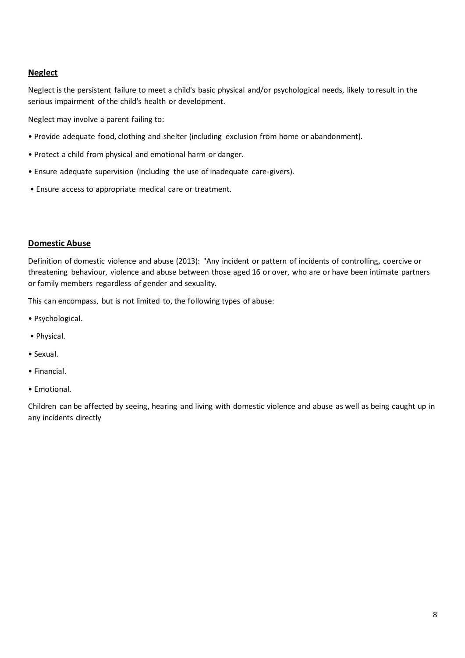#### **Neglect**

Neglect is the persistent failure to meet a child's basic physical and/or psychological needs, likely to result in the serious impairment of the child's health or development.

Neglect may involve a parent failing to:

- Provide adequate food, clothing and shelter (including exclusion from home or abandonment).
- Protect a child from physical and emotional harm or danger.
- Ensure adequate supervision (including the use of inadequate care-givers).
- Ensure access to appropriate medical care or treatment.

#### **Domestic Abuse**

Definition of domestic violence and abuse (2013): "Any incident or pattern of incidents of controlling, coercive or threatening behaviour, violence and abuse between those aged 16 or over, who are or have been intimate partners or family members regardless of gender and sexuality.

This can encompass, but is not limited to, the following types of abuse:

- Psychological.
- Physical.
- Sexual.
- Financial.
- Emotional.

Children can be affected by seeing, hearing and living with domestic violence and abuse as well as being caught up in any incidents directly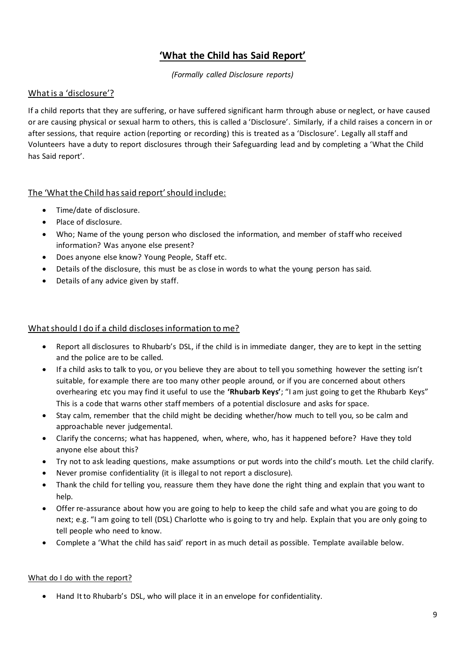## **'What the Child has Said Report'**

*(Formally called Disclosure reports)*

### What is a 'disclosure'?

If a child reports that they are suffering, or have suffered significant harm through abuse or neglect, or have caused or are causing physical or sexual harm to others, this is called a 'Disclosure'. Similarly, if a child raises a concern in or after sessions, that require action (reporting or recording) this is treated as a 'Disclosure'. Legally all staff and Volunteers have a duty to report disclosures through their Safeguarding lead and by completing a 'What the Child has Said report'.

## The 'What the Child has said report' should include:

- Time/date of disclosure.
- Place of disclosure.
- Who; Name of the young person who disclosed the information, and member of staff who received information? Was anyone else present?
- Does anyone else know? Young People, Staff etc.
- Details of the disclosure, this must be as close in words to what the young person has said.
- Details of any advice given by staff.

### What should I do if a child discloses information to me?

- Report all disclosures to Rhubarb's DSL, if the child is in immediate danger, they are to kept in the setting and the police are to be called.
- If a child asks to talk to you, or you believe they are about to tell you something however the setting isn't suitable, for example there are too many other people around, or if you are concerned about others overhearing etc you may find it useful to use the **'Rhubarb Keys'**; "I am just going to get the Rhubarb Keys" This is a code that warns other staff members of a potential disclosure and asks for space.
- Stay calm, remember that the child might be deciding whether/how much to tell you, so be calm and approachable never judgemental.
- Clarify the concerns; what has happened, when, where, who, has it happened before? Have they told anyone else about this?
- Try not to ask leading questions, make assumptions or put words into the child's mouth. Let the child clarify.
- Never promise confidentiality (it is illegal to not report a disclosure).
- Thank the child for telling you, reassure them they have done the right thing and explain that you want to help.
- Offer re-assurance about how you are going to help to keep the child safe and what you are going to do next; e.g. "I am going to tell (DSL) Charlotte who is going to try and help. Explain that you are only going to tell people who need to know.
- Complete a 'What the child has said' report in as much detail as possible. Template available below.

#### What do I do with the report?

• Hand It to Rhubarb's DSL, who will place it in an envelope for confidentiality.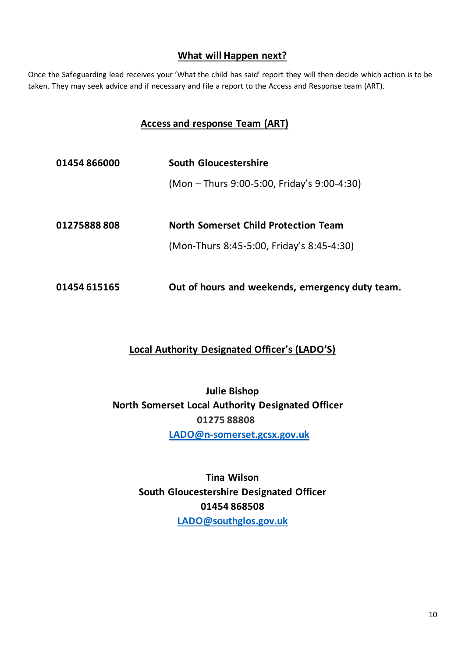## **What will Happen next?**

Once the Safeguarding lead receives your 'What the child has said' report they will then decide which action is to be taken. They may seek advice and if necessary and file a report to the Access and Response team (ART).

## **Access and response Team (ART)**

| 01454866000  | South Gloucestershire                                                                    |  |
|--------------|------------------------------------------------------------------------------------------|--|
|              | (Mon – Thurs 9:00-5:00, Friday's 9:00-4:30)                                              |  |
| 01275888808  | <b>North Somerset Child Protection Team</b><br>(Mon-Thurs 8:45-5:00, Friday's 8:45-4:30) |  |
| 01454 615165 | Out of hours and weekends, emergency duty team.                                          |  |

## **Local Authority Designated Officer's (LADO'S)**

**Julie Bishop North Somerset Local Authority Designated Officer 01275 88808 [LADO@n-somerset.gcsx.gov.uk](mailto:LADO@n-somerset.gcsx.gov.uk)**

> **Tina Wilson South Gloucestershire Designated Officer 01454 868508 [LADO@southglos.gov.uk](mailto:LADO@southglos.gov.uk)**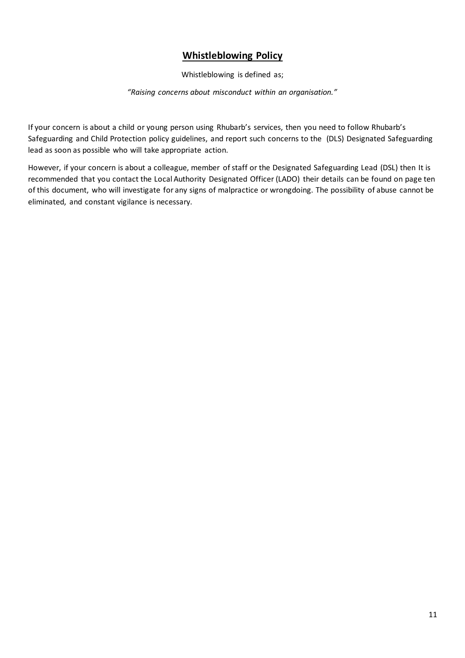## **Whistleblowing Policy**

Whistleblowing is defined as;

*"Raising concerns about misconduct within an organisation."*

If your concern is about a child or young person using Rhubarb's services, then you need to follow Rhubarb's Safeguarding and Child Protection policy guidelines, and report such concerns to the (DLS) Designated Safeguarding lead as soon as possible who will take appropriate action.

However, if your concern is about a colleague, member of staff or the Designated Safeguarding Lead (DSL) then It is recommended that you contact the Local Authority Designated Officer (LADO) their details can be found on page ten of this document, who will investigate for any signs of malpractice or wrongdoing. The possibility of abuse cannot be eliminated, and constant vigilance is necessary.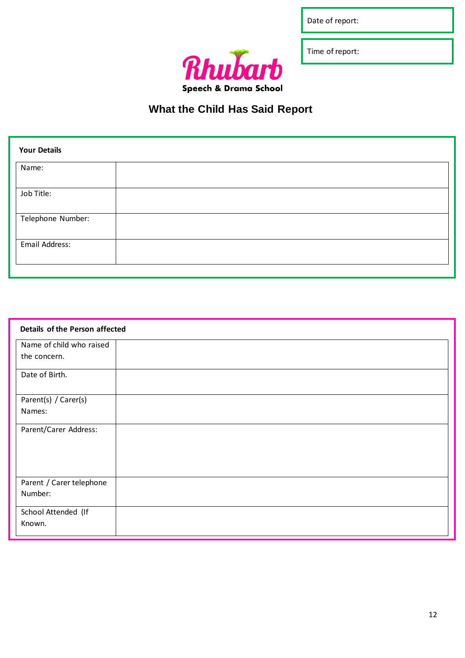Date of report:

Rhubar  $\overline{\textbf{h}}$ Speech & Drama School Time of report:

## **What the Child Has Said Report**

| <b>Your Details</b> |  |
|---------------------|--|
| Name:               |  |
| Job Title:          |  |
| Telephone Number:   |  |
| Email Address:      |  |
|                     |  |

| Details of the Person affected |  |
|--------------------------------|--|
| Name of child who raised       |  |
| the concern.                   |  |
| Date of Birth.                 |  |
| Parent(s) / Carer(s)           |  |
| Names:                         |  |
| Parent/Carer Address:          |  |
|                                |  |
|                                |  |
| Parent / Carer telephone       |  |
| Number:                        |  |
| School Attended (If            |  |
| Known.                         |  |